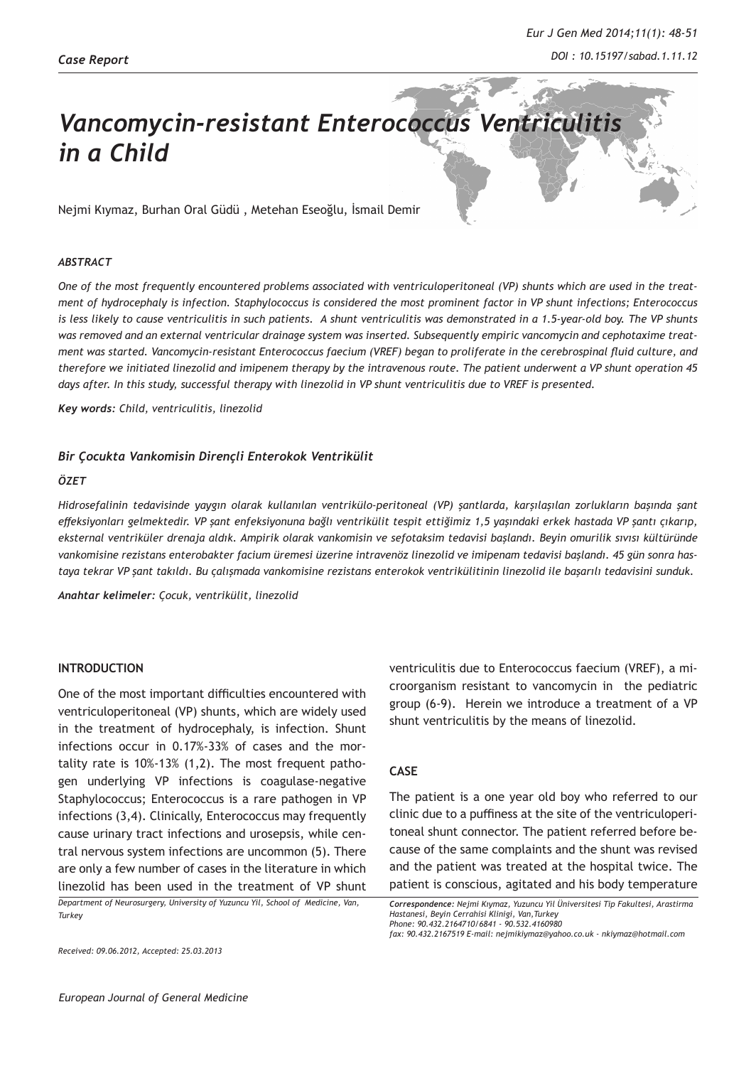# *Vancomycin-resistant Enterococcus Ventriculitis in a Child*

Nejmi Kıymaz, Burhan Oral Güdü , Metehan Eseoğlu, İsmail Demir

### *ABSTRACT*

*One of the most frequently encountered problems associated with ventriculoperitoneal (VP) shunts which are used in the treatment of hydrocephaly is infection. Staphylococcus is considered the most prominent factor in VP shunt infections; Enterococcus is less likely to cause ventriculitis in such patients. A shunt ventriculitis was demonstrated in a 1.5-year-old boy. The VP shunts was removed and an external ventricular drainage system was inserted. Subsequently empiric vancomycin and cephotaxime treatment was started. Vancomycin-resistant Enterococcus faecium (VREF) began to proliferate in the cerebrospinal fluid culture, and therefore we initiated linezolid and imipenem therapy by the intravenous route. The patient underwent a VP shunt operation 45*  days after. In this study, successful therapy with linezolid in VP shunt ventriculitis due to VREF is presented.

*Key words: Child, ventriculitis, linezolid* 

### *Bir Çocukta Vankomisin Dirençli Enterokok Ventrikülit*

### *ÖZET*

*Hidrosefalinin tedavisinde yaygın olarak kullanılan ventrikülo-peritoneal (VP) şantlarda, karşılaşılan zorlukların başında şant effeksiyonları gelmektedir. VP şant enfeksiyonuna bağlı ventrikülit tespit ettiğimiz 1,5 yaşındaki erkek hastada VP şantı çıkarıp, eksternal ventriküler drenaja aldık. Ampirik olarak vankomisin ve sefotaksim tedavisi başlandı. Beyin omurilik sıvısı kültüründe vankomisine rezistans enterobakter facium üremesi üzerine intravenöz linezolid ve imipenam tedavisi başlandı. 45 gün sonra hastaya tekrar VP şant takıldı. Bu çalışmada vankomisine rezistans enterokok ventrikülitinin linezolid ile başarılı tedavisini sunduk.*

*Anahtar kelimeler: Çocuk, ventrikülit, linezolid*

#### **INTRODUCTION**

One of the most important difficulties encountered with ventriculoperitoneal (VP) shunts, which are widely used in the treatment of hydrocephaly, is infection. Shunt infections occur in 0.17%-33% of cases and the mortality rate is 10%-13% (1,2). The most frequent pathogen underlying VP infections is coagulase-negative Staphylococcus; Enterococcus is a rare pathogen in VP infections (3,4). Clinically, Enterococcus may frequently cause urinary tract infections and urosepsis, while central nervous system infections are uncommon (5). There are only a few number of cases in the literature in which linezolid has been used in the treatment of VP shunt

*Department of Neurosurgery, University of Yuzuncu Yil, School of Medicine, Van, Turkey* 

*Received: 09.06.2012, Accepted: 25.03.2013*

ventriculitis due to Enterococcus faecium (VREF), a microorganism resistant to vancomycin in the pediatric group (6-9). Herein we introduce a treatment of a VP shunt ventriculitis by the means of linezolid.

## **CASE**

The patient is a one year old boy who referred to our clinic due to a puffiness at the site of the ventriculoperitoneal shunt connector. The patient referred before because of the same complaints and the shunt was revised and the patient was treated at the hospital twice. The patient is conscious, agitated and his body temperature

*Correspondence: Nejmi Kıymaz, Yuzuncu Yil Üniversitesi Tip Fakultesi, Arastirma Hastanesi, Beyin Cerrahisi Klinigi, Van,Turkey Phone: 90.432.2164710/6841 - 90.532.4160980*

*fax: 90.432.2167519 E-mail: nejmikiymaz@yahoo.co.uk - nkiymaz@hotmail.com*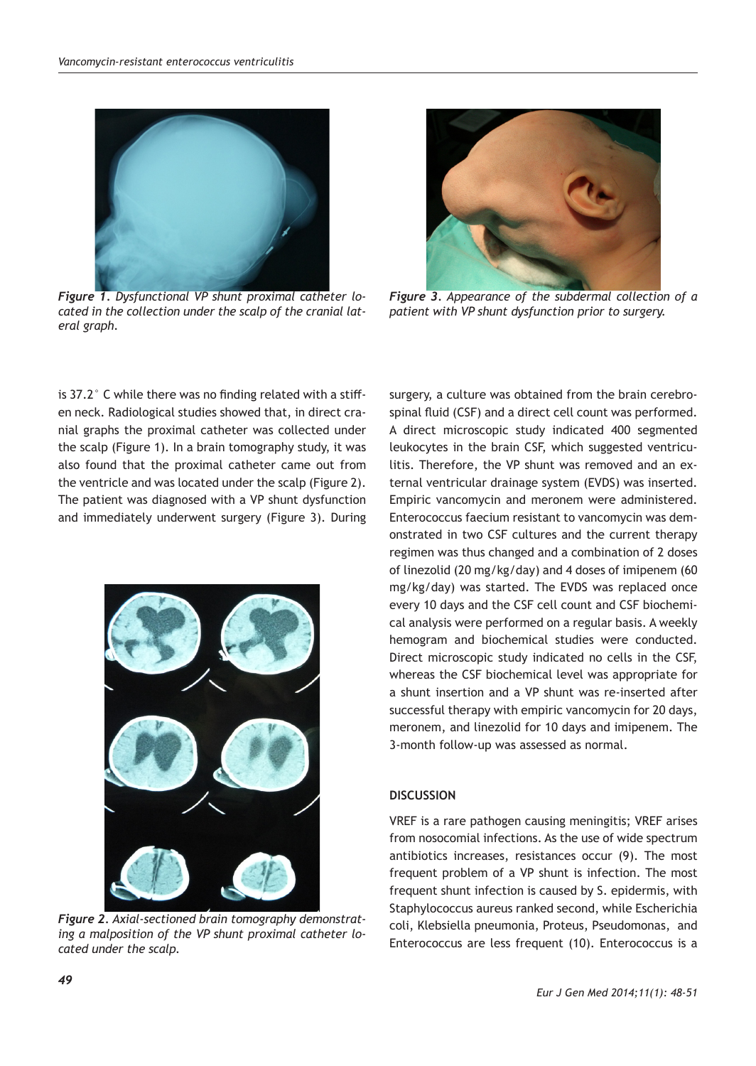

*Figure 1. Dysfunctional VP shunt proximal catheter located in the collection under the scalp of the cranial lateral graph.* 



*Figure 3. Appearance of the subdermal collection of a patient with VP shunt dysfunction prior to surgery.*

is 37.2° C while there was no finding related with a stiffen neck. Radiological studies showed that, in direct cranial graphs the proximal catheter was collected under the scalp (Figure 1). In a brain tomography study, it was also found that the proximal catheter came out from the ventricle and was located under the scalp (Figure 2). The patient was diagnosed with a VP shunt dysfunction and immediately underwent surgery (Figure 3). During



*Figure 2. Axial-sectioned brain tomography demonstrating a malposition of the VP shunt proximal catheter located under the scalp.*

surgery, a culture was obtained from the brain cerebrospinal fluid (CSF) and a direct cell count was performed. A direct microscopic study indicated 400 segmented leukocytes in the brain CSF, which suggested ventriculitis. Therefore, the VP shunt was removed and an external ventricular drainage system (EVDS) was inserted. Empiric vancomycin and meronem were administered. Enterococcus faecium resistant to vancomycin was demonstrated in two CSF cultures and the current therapy regimen was thus changed and a combination of 2 doses of linezolid (20 mg/kg/day) and 4 doses of imipenem (60 mg/kg/day) was started. The EVDS was replaced once every 10 days and the CSF cell count and CSF biochemical analysis were performed on a regular basis. A weekly hemogram and biochemical studies were conducted. Direct microscopic study indicated no cells in the CSF, whereas the CSF biochemical level was appropriate for a shunt insertion and a VP shunt was re-inserted after successful therapy with empiric vancomycin for 20 days, meronem, and linezolid for 10 days and imipenem. The 3-month follow-up was assessed as normal.

## **DISCUSSION**

VREF is a rare pathogen causing meningitis; VREF arises from nosocomial infections. As the use of wide spectrum antibiotics increases, resistances occur (9). The most frequent problem of a VP shunt is infection. The most frequent shunt infection is caused by S. epidermis, with Staphylococcus aureus ranked second, while Escherichia coli, Klebsiella pneumonia, Proteus, Pseudomonas, and Enterococcus are less frequent (10). Enterococcus is a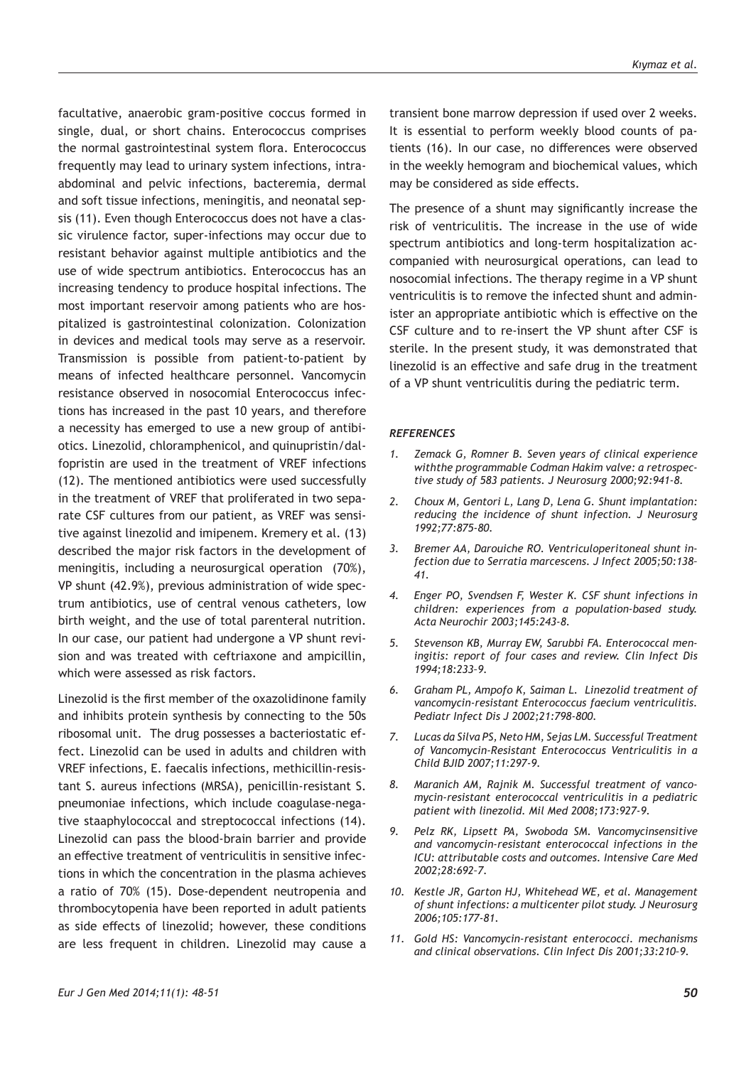facultative, anaerobic gram-positive coccus formed in single, dual, or short chains. Enterococcus comprises the normal gastrointestinal system flora. Enterococcus frequently may lead to urinary system infections, intraabdominal and pelvic infections, bacteremia, dermal and soft tissue infections, meningitis, and neonatal sepsis (11). Even though Enterococcus does not have a classic virulence factor, super-infections may occur due to resistant behavior against multiple antibiotics and the use of wide spectrum antibiotics. Enterococcus has an increasing tendency to produce hospital infections. The most important reservoir among patients who are hospitalized is gastrointestinal colonization. Colonization in devices and medical tools may serve as a reservoir. Transmission is possible from patient-to-patient by means of infected healthcare personnel. Vancomycin resistance observed in nosocomial Enterococcus infections has increased in the past 10 years, and therefore a necessity has emerged to use a new group of antibiotics. Linezolid, chloramphenicol, and quinupristin/dalfopristin are used in the treatment of VREF infections (12). The mentioned antibiotics were used successfully in the treatment of VREF that proliferated in two separate CSF cultures from our patient, as VREF was sensitive against linezolid and imipenem. Kremery et al. (13) described the major risk factors in the development of meningitis, including a neurosurgical operation (70%), VP shunt (42.9%), previous administration of wide spectrum antibiotics, use of central venous catheters, low birth weight, and the use of total parenteral nutrition. In our case, our patient had undergone a VP shunt revision and was treated with ceftriaxone and ampicillin, which were assessed as risk factors.

Linezolid is the first member of the oxazolidinone family and inhibits protein synthesis by connecting to the 50s ribosomal unit. The drug possesses a bacteriostatic effect. Linezolid can be used in adults and children with VREF infections, E. faecalis infections, methicillin-resistant S. aureus infections (MRSA), penicillin-resistant S. pneumoniae infections, which include coagulase-negative staaphylococcal and streptococcal infections (14). Linezolid can pass the blood-brain barrier and provide an effective treatment of ventriculitis in sensitive infections in which the concentration in the plasma achieves a ratio of 70% (15). Dose-dependent neutropenia and thrombocytopenia have been reported in adult patients as side effects of linezolid; however, these conditions are less frequent in children. Linezolid may cause a transient bone marrow depression if used over 2 weeks. It is essential to perform weekly blood counts of patients (16). In our case, no differences were observed in the weekly hemogram and biochemical values, which may be considered as side effects.

The presence of a shunt may significantly increase the risk of ventriculitis. The increase in the use of wide spectrum antibiotics and long-term hospitalization accompanied with neurosurgical operations, can lead to nosocomial infections. The therapy regime in a VP shunt ventriculitis is to remove the infected shunt and administer an appropriate antibiotic which is effective on the CSF culture and to re-insert the VP shunt after CSF is sterile. In the present study, it was demonstrated that linezolid is an effective and safe drug in the treatment of a VP shunt ventriculitis during the pediatric term.

#### *REFERENCES*

- *1. Zemack G, Romner B. Seven years of clinical experience withthe programmable Codman Hakim valve: a retrospective study of 583 patients. J Neurosurg 2000;92:941-8.*
- *2. Choux M, Gentori L, Lang D, Lena G. Shunt implantation: reducing the incidence of shunt infection. J Neurosurg 1992;77:875-80.*
- *3. Bremer AA, Darouiche RO. Ventriculoperitoneal shunt infection due to Serratia marcescens. J Infect 2005;50:138– 41.*
- *4. Enger PO, Svendsen F, Wester K. CSF shunt infections in children: experiences from a population-based study. Acta Neurochir 2003;145:243-8.*
- *5. Stevenson KB, Murray EW, Sarubbi FA. Enterococcal meningitis: report of four cases and review. Clin Infect Dis 1994;18:233–9.*
- *6. Graham PL, Ampofo K, Saiman L. Linezolid treatment of vancomycin-resistant Enterococcus faecium ventriculitis. Pediatr Infect Dis J 2002;21:798-800.*
- *7. Lucas da Silva PS, Neto HM, Sejas LM. Successful Treatment of Vancomycin-Resistant Enterococcus Ventriculitis in a Child BJID 2007;11:297-9.*
- *8. Maranich AM, Rajnik M. Successful treatment of vancomycin-resistant enterococcal ventriculitis in a pediatric patient with linezolid. Mil Med 2008;173:927-9.*
- *9. Pelz RK, Lipsett PA, Swoboda SM. Vancomycinsensitive and vancomycin-resistant enterococcal infections in the ICU: attributable costs and outcomes. Intensive Care Med 2002;28:692–7.*
- *10. Kestle JR, Garton HJ, Whitehead WE, et al. Management of shunt infections: a multicenter pilot study. J Neurosurg 2006;105:177-81.*
- *11. Gold HS: Vancomycin-resistant enterococci. mechanisms and clinical observations. Clin Infect Dis 2001;33:210–9.*